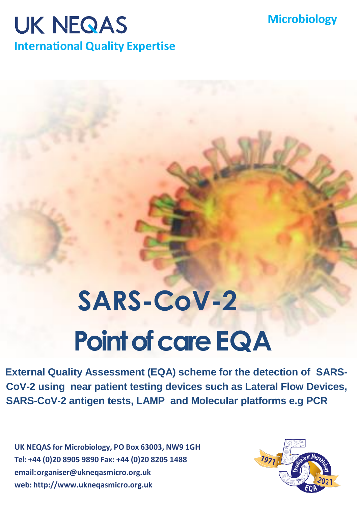## **Microbiology**

## **UK NEQAS**

**International Quality Expertise**

## **SARS-CoV-2 Point of care EQA**

**External Quality Assessment (EQA) scheme for the detection of SARS-CoV-2 using near patient testing devices such as Lateral Flow Devices, SARS-CoV-2 antigen tests, LAMP and Molecular platforms e.g PCR**

**UK NEQAS for Microbiology, PO Box 63003, NW9 1GH Tel: +44 (0)20 8905 9890 Fax: +44 (0)20 8205 1488 email[:organiser@ukneqasmicro.org.uk](mailto:organiser@ukneqasmicro.org.uk) web: [http://www.ukneqasmicro.org.uk](http://www.ukneqasmicro.org.uk/)**